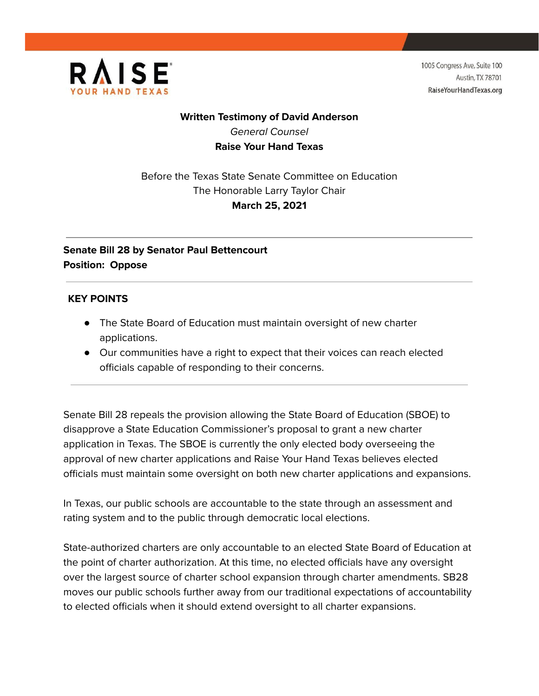

1005 Congress Ave, Suite 100 **Austin, TX 78701** RaiseYourHandTexas.org

# **Written Testimony of David Anderson** General Counsel **Raise Your Hand Texas**

Before the Texas State Senate Committee on Education The Honorable Larry Taylor Chair **March 25, 2021**

# **Senate Bill 28 by Senator Paul Bettencourt Position: Oppose**

### **KEY POINTS**

- The State Board of Education must maintain oversight of new charter applications.
- Our communities have a right to expect that their voices can reach elected officials capable of responding to their concerns.

Senate Bill 28 repeals the provision allowing the State Board of Education (SBOE) to disapprove a State Education Commissioner's proposal to grant a new charter application in Texas. The SBOE is currently the only elected body overseeing the approval of new charter applications and Raise Your Hand Texas believes elected officials must maintain some oversight on both new charter applications and expansions.

In Texas, our public schools are accountable to the state through an assessment and rating system and to the public through democratic local elections.

State-authorized charters are only accountable to an elected State Board of Education at the point of charter authorization. At this time, no elected officials have any oversight over the largest source of charter school expansion through charter amendments. SB28 moves our public schools further away from our traditional expectations of accountability to elected officials when it should extend oversight to all charter expansions.